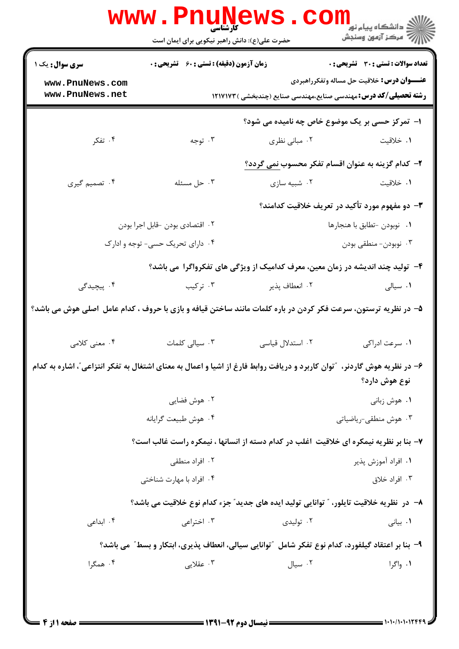|                                                                                                                          | www . Pn<br><b>کارشناسی</b><br>حضرت علی(ع): دانش راهبر نیکویی برای ایمان است |                                                                                                   | ڪ دانشڪاه پيام نور<br><mark>ر</mark> ⊂ مرڪز آزمون وسنڊش |  |
|--------------------------------------------------------------------------------------------------------------------------|------------------------------------------------------------------------------|---------------------------------------------------------------------------------------------------|---------------------------------------------------------|--|
| <b>سری سوال :</b> یک ۱                                                                                                   | <b>زمان آزمون (دقیقه) : تستی : 60 ٪ تشریحی : 0</b>                           |                                                                                                   | تعداد سوالات : تستى : 30 ٪ تشريحي : 0                   |  |
| www.PnuNews.com                                                                                                          |                                                                              |                                                                                                   | <b>عنـــوان درس:</b> خلاقیت حل مساله وتفکرراهبردی       |  |
| www.PnuNews.net                                                                                                          |                                                                              | <b>رشته تحصیلی/کد درس:</b> مهندسی صنایع،مهندسی صنایع (چندبخشی ) ۱۲۱۷۱۷۳                           |                                                         |  |
|                                                                                                                          |                                                                              | ا- تمرکز حسی بر یک موضوع خاص چه نامیده می شود؟                                                    |                                                         |  |
| ۰۴ تفکر                                                                                                                  | ۰۳ توجه                                                                      | ۰۲ مبانی نظری                                                                                     | ١. خلاقيت                                               |  |
|                                                                                                                          |                                                                              | ۲– کدام گزینه به عنوان اقسام تفکر محسوب <u>نمی</u> گردد؟                                          |                                                         |  |
| ۰۴ تصمیم گیری                                                                                                            | ۰۳ حل مسئله                                                                  |                                                                                                   | ۰۱ خلاقیت مسازی ۲۰۰ شبیه سازی                           |  |
|                                                                                                                          |                                                                              |                                                                                                   | ۳– دو مفهوم مورد تأکید در تعریف خلاقیت کدامند؟          |  |
| ٢. اقتصادي بودن -قابل اجرا بودن                                                                                          |                                                                              |                                                                                                   | ٠١ نوبودن -تطابق با هنجارها                             |  |
|                                                                                                                          | ۰۴ دارای تحریک حسی- توجه و ادارک                                             |                                                                                                   | ۰۳ نوبودن- منطقي بودن                                   |  |
|                                                                                                                          |                                                                              | ۴- تولید چند اندیشه در زمان معین، معرف کدامیک از ویژگی های تفکرواگرا می باشد؟                     |                                                         |  |
| ۴. پیچیدگی                                                                                                               | ۰۳ ترکیب                                                                     | ٢. انعطاف پذير                                                                                    | ۰۱ سیالی                                                |  |
| ۵– در نظریه ترستون، سرعت فکر کردن در باره کلمات مانند ساختن قیافه و بازی با حروف ، کدام عامل  اصلی هوش می باشد؟          |                                                                              |                                                                                                   |                                                         |  |
| ۰۴ معنی کلامی                                                                                                            | ۰۳ سیالی کلمات                                                               | ۰۲ استدلال قیاسی                                                                                  | ۰۱ سرعت ادراکی                                          |  |
| ۶– در نظریه هوش گاردنر، ″توان کاربرد و دریافت روابط فارغ از اشیا و اعمال به معنای اشتغال به تفکر انتزاعی″، اشاره به کدام |                                                                              |                                                                                                   | نوع هوش دارد؟                                           |  |
|                                                                                                                          | ۰۲ هوش فضایی                                                                 |                                                                                                   | ۰۱ هوش زبانی                                            |  |
|                                                                                                                          | ۰۴ هوش طبیعت گرایانه                                                         |                                                                                                   | ۰۳ هوش منطقی-ریاضیاتی                                   |  |
|                                                                                                                          |                                                                              | ۷- بنا بر نظریه نیمکره ای خلاقیت  غلب در کدام دسته از انسانها ، نیمکره راست غالب است؟             |                                                         |  |
|                                                                                                                          | ۰۲ افراد منطقی                                                               |                                                                                                   | ٠١. افراد آموزش پذير                                    |  |
|                                                                                                                          | ۰۴ افراد با مهارت شناختی                                                     |                                                                                                   | ۰۳ افراد خلاق                                           |  |
|                                                                                                                          |                                                                              | ۸–  در  نظریه خلاقیت تایلور، ″ توانایی تولید ایده های جدید″ جزء کدام نوع خلاقیت می باشد؟          |                                                         |  |
| ۰۴ ابداعی                                                                                                                | ۰۳ اختراعی                                                                   | ۰۲ تولیدی                                                                                         | ۰۱ بیانی                                                |  |
|                                                                                                                          |                                                                              | ۹- بنا بر اعتقاد گیلفورد، کدام نوع تفکر شامل ″توانایی سیالی، انعطاف پذیری، ابتکار و بسط″ می باشد؟ |                                                         |  |
| ۰۴ همگرا                                                                                                                 | ۰۳ عقلایی                                                                    | ۰۲ سیال                                                                                           | ۰۱ واگرا                                                |  |
|                                                                                                                          |                                                                              |                                                                                                   |                                                         |  |
|                                                                                                                          |                                                                              |                                                                                                   |                                                         |  |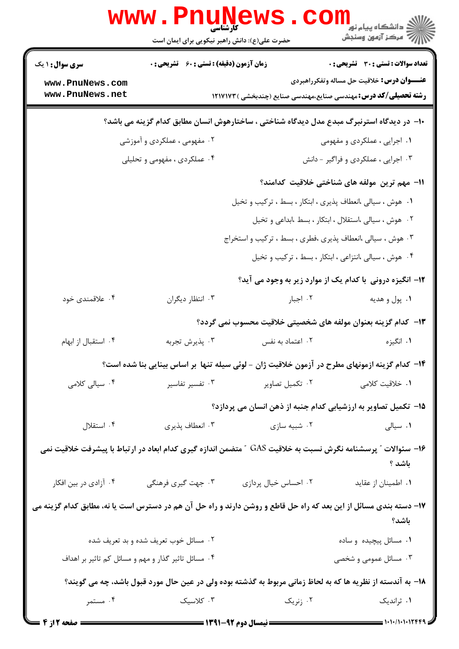|                                                                                                                        | <b>WWW . PNUN</b><br>کارشناسی<br>حضرت علی(ع): دانش راهبر نیکویی برای ایمان است |                                                                                               | ند دانشگاه پيام نور<br>پر دانشگاه پيام نور<br>پر                 |  |
|------------------------------------------------------------------------------------------------------------------------|--------------------------------------------------------------------------------|-----------------------------------------------------------------------------------------------|------------------------------------------------------------------|--|
| <b>سری سوال : ۱ یک</b>                                                                                                 | زمان آزمون (دقیقه) : تستی : 60 ٪ تشریحی : 0                                    |                                                                                               | <b>تعداد سوالات : تستی : 30 ٪ تشریحی : 0</b>                     |  |
| www.PnuNews.com                                                                                                        |                                                                                |                                                                                               | <b>عنـــوان درس:</b> خلاقیت حل مساله وتفکرراهبردی                |  |
| www.PnuNews.net                                                                                                        |                                                                                | <b>رشته تحصیلی/کد درس:</b> مهندسی صنایع،مهندسی صنایع (چندبخشی ) ۱۲۱۷۱۷۳                       |                                                                  |  |
| ∙ا− در دیدگاه استرنبرگ مبدع مدل دیدگاه شناختی ، ساختارهوش انسان مطابق کدام گزینه می باشد؟                              |                                                                                |                                                                                               |                                                                  |  |
|                                                                                                                        | ۲. مفهومی ، عملکردی و آموزشی                                                   |                                                                                               | ۰۱ اجرایی ، عملکردی و مفهومی                                     |  |
|                                                                                                                        | ۰۴ عملکردی ، مفهومی و تحلیلی                                                   |                                                                                               | ۰۳ اجرایی ، عملکردی و فراگیر - دانش                              |  |
|                                                                                                                        |                                                                                |                                                                                               | 11- مهم ترین مولفه های شناختی خلاقیت کدامند؟                     |  |
|                                                                                                                        |                                                                                | ۰۱ هوش ، سیالی ،انعطاف پذیری ، ابتکار ، بسط ، ترکیب و تخیل                                    |                                                                  |  |
|                                                                                                                        |                                                                                |                                                                                               | ۰۲ هوش ، سیالی ،استقلال ، ابتکار ، بسط ،ابداعی و تخیل            |  |
|                                                                                                                        |                                                                                | ۰۳ هوش ، سیالی ،انعطاف پذیری ،فطری ، بسط ، ترکیب و استخراج                                    |                                                                  |  |
|                                                                                                                        |                                                                                |                                                                                               | ۰۴ هوش ، سیالی ،انتزاعی ، ابتکار ، بسط ، ترکیب و تخیل            |  |
|                                                                                                                        |                                                                                |                                                                                               | <b>۱۲</b> - انگیزه درونی با کدام یک از موارد زیر به وجود می آید؟ |  |
| ۰۴ علاقمندی خود                                                                                                        | ۰۳ انتظار دیگران                                                               | ۰۲ اجبار                                                                                      | ۰۱ پول و هديه                                                    |  |
|                                                                                                                        |                                                                                | ۱۳– کدام گزینه بعنوان مولفه های شخصیتی خلاقیت محسوب نمی گردد؟                                 |                                                                  |  |
| ۰۴ استقبال از ابهام                                                                                                    | ۰۳ پذيرش تجربه                                                                 | ۰۲ اعتماد به نفس                                                                              | ۰۱ انگیزه                                                        |  |
|                                                                                                                        |                                                                                | ۱۴– کدام گزینه ازمونهای مطرح در آزمون خلاقیت ژان - لوئی سیله تنها بر اساس بینایی بنا شده است؟ |                                                                  |  |
| ۰۴ سیالی کلامی                                                                                                         | ۰۳ تفسیر تفاسیر                                                                | ۰۲ تکمیل تصاویر                                                                               | <b>۱.</b> خلاقیت کلامی                                           |  |
|                                                                                                                        |                                                                                | 1۵- تکمیل تصاویر به ارزشیابی کدام جنبه از ذهن انسان می پردازد؟                                |                                                                  |  |
| ۰۴ استقلال                                                                                                             | ۰۳ انعطاف پذیری                                                                | ۰۲ شبیه سازی                                                                                  | ۰۱ سیالی                                                         |  |
| ۱۶– سئوالات ″ پرسشنامه نگرش نسبت به خلاقیت GAS ″ متضمن اندازه گیری کدام ابعاد در ارتباط با پیشرفت خلاقیت نمی<br>باشد ؟ |                                                                                |                                                                                               |                                                                  |  |
| ۰۴ آزادی در بین افکار                                                                                                  | ۰۳ جهت گیری فرهنگی                                                             | ٠٢ احساس خيال پردازى                                                                          | ٠١ اطمينان از عقايد                                              |  |
| ۱۷– دسته بندی مسائل از این بعد که راه حل قاطع و روشن دارند و راه حل آن هم در دسترس است یا نه، مطابق کدام گزینه می      |                                                                                |                                                                                               | باشد؟                                                            |  |
|                                                                                                                        | ۰۲ مسائل خوب تعریف شده و بد تعریف شده                                          |                                                                                               | ۰۱ مسائل پیچیده و ساده                                           |  |
| ۰۳ مسائل عمومی و شخصی<br>۰۴ مسائل تاثیر گذار و مهم و مسائل کم تاثیر بر اهداف                                           |                                                                                |                                                                                               |                                                                  |  |
| ۱۸– به آندسته از نظریه ها که به لحاظ زمانی مربوط به گذشته بوده ولی در عین حال مورد قبول باشد، چه می گویند؟             |                                                                                |                                                                                               |                                                                  |  |
| ۰۴ مستمر                                                                                                               | ۰۳ کلاسیک                                                                      | ۰۲ زنریک                                                                                      | ۰۱ ثراندیک                                                       |  |
|                                                                                                                        |                                                                                |                                                                                               |                                                                  |  |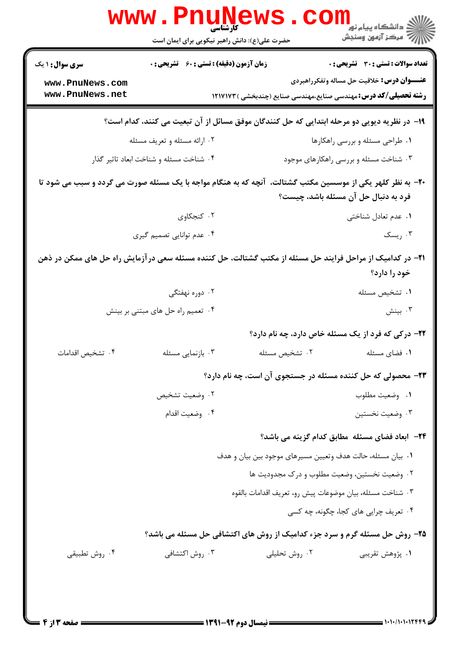| <b>WWW</b>                                                                                                                                         | کا, شناسی<br>حضرت علی(ع): دانش راهبر نیکویی برای ایمان است                                                        |                                                                        | ڪ دانشڪاه پيا <sub>م</sub> نور<br>ا∛ مرکز آزمون وسنجش  |  |
|----------------------------------------------------------------------------------------------------------------------------------------------------|-------------------------------------------------------------------------------------------------------------------|------------------------------------------------------------------------|--------------------------------------------------------|--|
| <b>سری سوال : ۱ یک</b>                                                                                                                             | زمان آزمون (دقیقه) : تستی : 60 ٪ تشریحی : 0                                                                       |                                                                        | <b>تعداد سوالات : تستی : 30 ٪ تشریحی : 0</b>           |  |
| www.PnuNews.com<br>www.PnuNews.net                                                                                                                 |                                                                                                                   | <b>رشته تحصیلی/کد درس:</b> مهندسی صنایع،مهندسی صنایع (چندبخشی )۱۲۱۷۱۷۳ | <b>عنـــوان درس:</b> خلاقیت حل مساله وتفکرراهبردی      |  |
| ۱۹– در نظریه دیویی دو مرحله ابتدایی که حل کنندگان موفق مسائل از آن تبعیت می کنند، کدام است؟                                                        |                                                                                                                   |                                                                        |                                                        |  |
|                                                                                                                                                    | ۰۲ ارائه مسئله و تعریف مسئله                                                                                      |                                                                        | ۰۱ طراحی مسئله و بررسی راهکارها                        |  |
|                                                                                                                                                    | ۰۴ شناخت مسئله و شناخت ابعاد تاثير گذار                                                                           |                                                                        | ۰۳ شناخت مسئله و بررسی راهکارهای موجود                 |  |
| +۲- به نظر کلهر یکی از موسسین مکتب گشتالت، آنچه که به هنگام مواجه با یک مسئله صورت می گردد و سبب می شود تا<br>فرد به دنبال حل آن مسئله باشد، چیست؟ |                                                                                                                   |                                                                        |                                                        |  |
|                                                                                                                                                    | ۰۲ کنجکاوی                                                                                                        |                                                                        | ۰۱ عدم تعادل شناختی                                    |  |
|                                                                                                                                                    | ۰۴ عدم توانایی تصمیم گیری                                                                                         |                                                                        | ۰۳ ریسک                                                |  |
|                                                                                                                                                    | <b>۳۱</b> – در کدامیک از مراحل فرایند حل مسئله از مکتب گشتالت، حل کننده مسئله سعی درآزمایش راه حل های ممکن در ذهن |                                                                        | خود را دارد؟                                           |  |
|                                                                                                                                                    | ۰۲ دوره نهفتگی                                                                                                    |                                                                        | ٠١ تشخيص مسئله                                         |  |
|                                                                                                                                                    | ۰۴ تعمیم راه حل های مبتنی بر بینش                                                                                 |                                                                        | ۰۳ بینش                                                |  |
|                                                                                                                                                    |                                                                                                                   | ۲۲- درکی که فرد از یک مسئله خاص دارد، چه نام دارد؟                     |                                                        |  |
| ۰۴ تشخيص اقدامات                                                                                                                                   | ۰۳ بازنمایی مسئله                                                                                                 | ۰۲ تشخیص مسئله                                                         | ٠١ فضاى مسئله                                          |  |
|                                                                                                                                                    |                                                                                                                   | ۲۳- محصولی که حل کننده مسئله در جستجوی آن است، چه نام دارد؟            |                                                        |  |
|                                                                                                                                                    | ۰۲ وضعیت تشخیص                                                                                                    |                                                                        | ٠١. وضعيت مطلوب                                        |  |
|                                                                                                                                                    | ۰۴ وضعيت اقدام                                                                                                    |                                                                        | ۰۳ وضعيت نخستين                                        |  |
|                                                                                                                                                    |                                                                                                                   |                                                                        | <b>۲۴</b> - ابعاد فضای مسئله مطابق کدام گزینه می باشد؟ |  |
|                                                                                                                                                    |                                                                                                                   | ٠١. بيان مسئله، حالت هدف وتعيين مسيرهاي موجود بين بيان و هدف           |                                                        |  |
|                                                                                                                                                    |                                                                                                                   | ٠٢ وضعيت نخستين، وضعيت مطلوب و درك مجدوديت ها                          |                                                        |  |
|                                                                                                                                                    |                                                                                                                   | ٠٣ شناخت مسئله، بيان موضوعات پيش رو، تعريف اقدامات بالقوه              |                                                        |  |
|                                                                                                                                                    |                                                                                                                   |                                                                        | ۰۴ تعریف چرایی های کجا، چگونه، چه کسی                  |  |
|                                                                                                                                                    | ۲۵- روش حل مسئله گرم و سرد جزء کدامیک از روش های اکتشافی حل مسئله می باشد؟                                        |                                                                        |                                                        |  |
| ۰۴ روش تطبيقي                                                                                                                                      | ۰۳ روش اکتشافی                                                                                                    | ۰۲ روش تحلیلی                                                          | ۰۱ پژوهش تقریبی                                        |  |
| 5 صفحه 13 4                                                                                                                                        |                                                                                                                   |                                                                        |                                                        |  |